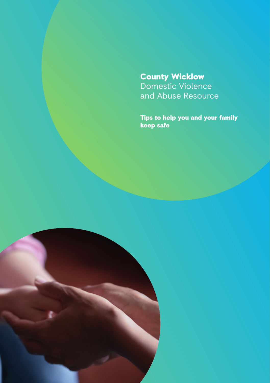# County Wicklow Domestic Violence and Abuse Resource

Tips to help you and your family keep safe

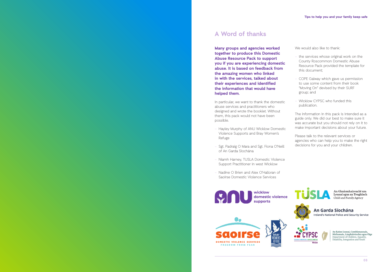# **A Word of thanks**

**Many groups and agencies worked together to produce this Domestic Abuse Resource Pack to support you if you are experiencing domestic abuse. It is based on feedback from the amazing women who linked in with the services, talked about their experiences and identified the information that would have helped them.** 

In particular, we want to thank the domestic abuse services and practitioners who designed and wrote the booklet. Without them, this pack would not have been possible.

- Hayley Murphy of ANU Wicklow Domestic Violence Supports and Bray Women's Refuge
- Sgt. Padraig O Mara and Sgt. Fiona O'Neill of An Garda Síochána
- Niamh Harney, TUSLA Domestic Violence Support Practitioner in west Wicklow
- Nadine O Brien and Alex O'Halloran of Saoirse Domestic Violence Services



We would also like to thank:

- the services whose original work on the County Roscommon Domestic Abuse Resource Pack provided the template for this document;
- COPE Galway which gave us permission to use some content from their book "Moving On" devised by their SURF group; and
- Wicklow CYPSC who funded this publication.

The information in this pack is intended as a guide only. We did our best to make sure it was accurate but you should not rely on it to make important decisions about your future.

Please talk to the relevant services or agencies who can help you to make the right decisions for you and your children.



An Garda Síochána Ireland's National Police and Security Service



An Roinn Leanaí, Comhionannais,<br>Míchumais, Lánpháirtíochta agus Óige<br>Department of Children, Equality,<br>Disability, Integration and Youth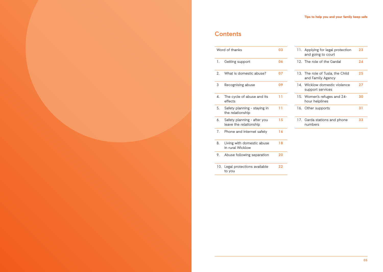# **Contents**

| Word of thanks<br>03                                                               | 11. Applying for legal protection<br>23<br>and going to court |
|------------------------------------------------------------------------------------|---------------------------------------------------------------|
|                                                                                    |                                                               |
| Getting support<br>06<br>1.                                                        | 12. The role of the Gardaí<br>24                              |
| What is domestic abuse?<br>07<br>2.                                                | 25<br>13. The role of Tusla, the Child<br>and Family Agency   |
| 3<br>09<br>Recognising abuse                                                       | 14. Wicklow domestic violence<br>27<br>support services       |
| The cycle of abuse and its<br>11<br>$\mathbf{4}$ .<br>effects<br>hour helplines    | 15. Women's refuges and 24-<br>30                             |
| 5.<br>Safety planning - staying in<br>11<br>16. Other supports<br>the relationship | 31                                                            |
| Safety planning - after you<br>15<br>6.<br>leave the relationship<br>numbers       | 17. Garda stations and phone<br>33                            |
| Phone and internet safety<br>16<br>7.                                              |                                                               |
| 8.<br>18<br>Living with domestic abuse<br>in rural Wicklow                         |                                                               |
| Abuse following separation<br>20<br>9.                                             |                                                               |
| 22<br>10. Legal protections available<br>to you                                    |                                                               |

| 03 |  | 11. Applying for legal protection<br>and going to court | 23 |
|----|--|---------------------------------------------------------|----|
| 06 |  | 12. The role of the Gardaí                              | 24 |
| 07 |  | 13. The role of Tusla, the Child<br>and Family Agency   | 25 |
| 09 |  | 14 Wicklow domestic violence<br>support services        | 27 |
| 11 |  | 15. Women's refuges and 24-<br>hour helplines           | 30 |
| 11 |  | 16. Other supports                                      | 31 |
| 15 |  | 17. Garda stations and phone<br>numbers                 | 33 |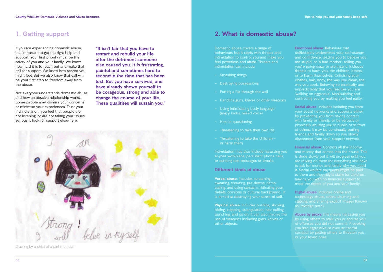# **1. Getting support**

If you are experiencing domestic abuse, it is important to get the right help and support. Your first priority must be the safety of you and your family. We know how hard it is to reach out and make that call for support. We know how scared you might feel. But we also know that call will be your first step to freedom away from the abuse.

Not everyone understands domestic abuse and how an abusive relationship works. Some people may dismiss your concerns or minimise your experiences. Trust your instincts and if you feel that people are not listening, or are not taking your issues seriously, look for support elsewhere.

**"It isn't fair that you have to restart and rebuild your life after the detriment someone else caused you. It is frustrating, painful and sometimes hard to reconcile the time that has been lost. But you have survived, and have already shown yourself to be corageous, strong and able to change the course of your life. These qualitites will sustain you."** 



Drawing by a child of a surf member

# **2. What is domestic abuse?**

Domestic abuse covers a range of behaviours but it starts with threats and intimidation to control you and make you feel powerless and afraid. Threats and intimidation can include:

- Smashing things
- Destroying possessions
- Putting a fist through the wall
- Handling guns, knives or other weapons
- Using intimidating body language (angry looks, raised voice)
- Hostile questioning
- Threatening to take their own life
- Threatening to take the children or harm them

Intimidation may also include harassing you at your workplace, persistent phone calls, or sending text messages or emails.

**Different kinds of abuse**

**Verbal abuse:** Includes screaming, swearing, shouting, put-downs, namecalling, and using sarcasm, ridiculing your beliefs, opinions or cultural background. It is aimed at destroying your sense of self.

**Physical abuse:** Includes pushing, shoving, hitting, slapping, strangulation, hair pulling, punching, and so on. It can also involve the use of weapons including guns, knives or other objects.

**Emotional abuse:** Behaviour that deliberately undermines your self-esteem and confidence, leading you to believe you are stupid, or 'a bad mother', telling you you're going crazy or are insane. Includes threats to harm you, the children, others, or to harm themselves. Criticising your clothes, hair, body, the way you clean, the way you cook. Behaving so erratically and 'walking on eggshells'. Manipulating and controlling you by making you feel guilty.

**Social abuse:** Includes isolating you from your social networks and supports either by preventing you from having contact with family or friends, or by verbally or physically abusing you in public or in front of others. It may be continually putting friends and family down so you slowly disconnect from your support network.

**Financial abuse:** Controls all the income and money that comes into the house. This is done slowly but it will progress until you are relying on them for everything and have to ask for money and justify why you need it. Social welfare payments might be paid to them and they might claim for children leaving you with no financial support to meet the needs of you and your family.

**Digital abuse:** Includes online and technology abuse, online shaming and stalking, and sharing explicit images (known as 'revenge porn').

**Abuse by proxy:** this means harassing you by using others to stalk you or accuse you of offenses you did not commit. Provoking you into aggressive or even antisocial conduct by getting others to threaten you or your loved ones.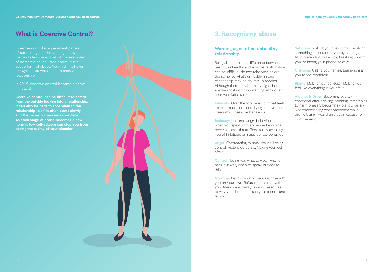# **What is Coercive Control?**

Coercive control is a persistent pattern of controlling and threatening behaviour that includes some or all of the examples of domestic abuse listed above. It is a subtle form of abuse. You might not even recognise that you are in an abusive relationship.

In 2019, coercive control became a crime in Ireland.

**Coercive control can be difficult to detect from the outside looking into a relationship. It can also be hard to spot when in the relationship itself. It often starts slowly and the behaviour worsens over time. As each stage of abuse becomes a new normal, low self-esteem can stop you from seeing the reality of your situation.**



# **3. Recognising abuse**

# **Warning signs of an unhealthy relationship**

Being able to tell the difference between healthy, unhealthy and abusive relationships can be difficult. No two relationships are the same, so what's unhealthy in one relationship may be abusive in another. Although there may be many signs, here are the most common warning signs of an abusive relationship:

**Intensity:** Over the top behaviour that feels like too much too soon. Lying to cover up insecurity. Obsessive behaviour.

**Jealousy:** Irrational, angry behaviour when you speak with someone he or she perceives as a threat. Persistently accusing you of flirtatious or inappropriate behaviour.

**Anger:** Overreacting to small issues. Losing control. Violent outbursts. Making you feel afraid.

**Control:** Telling you what to wear, who to hang out with, when to speak or what to think.

**Isolation:** Insists on only spending time with you on your own. Refuses to interact with your friends and family. Invents reason as to why you should not see your friends and family.

**Sabotage:** Making you miss school, work or something important to you by starting a fight, pretending to be sick, breaking up with you, or hiding your phone or keys.

**Criticism:** Calling you names. Brainwashing you to feel worthless.

**Blame:** Making you feel guilty. Making you feel like everything is your fault.

**Alcohol & Drugs:** Becoming overlyemotional after drinking. Sobbing, threatening to harm oneself, becoming violent or angry. Not remembering what happened while drunk. Using 'I was drunk' as an excuse for poor behaviour.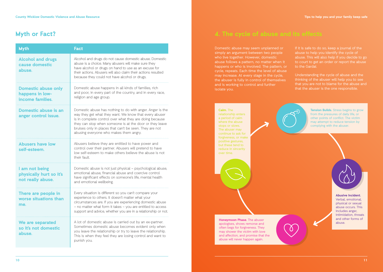# **Myth or Fact?**

| <b>Myth</b>                                                       | <b>Fact</b>                                                                                                                                                                                                                                                                                                                                    |  |
|-------------------------------------------------------------------|------------------------------------------------------------------------------------------------------------------------------------------------------------------------------------------------------------------------------------------------------------------------------------------------------------------------------------------------|--|
| <b>Alcohol and drugs</b><br>cause domestic<br>abuse.              | Alcohol and drugs do not cause domestic abuse. Domestic<br>abuse is a choice. Many abusers will make sure they<br>have alcohol or drugs on hand to use as an excuse for<br>their actions. Abusers will also claim their actions resulted<br>because they could not have alcohol or drugs.                                                      |  |
| <b>Domestic abuse only</b><br>happens in low-<br>income families. | Domestic abuse happens in all kinds of families, rich<br>and poor, in every part of the country, and in every race,<br>religion and age group.                                                                                                                                                                                                 |  |
| Domestic abuse is an<br>anger control issue.                      | Domestic abuse has nothing to do with anger. Anger is the<br>way they get what they want. We know that every abuser<br>is in complete control over what they are doing because<br>they can stop when someone is at the door or they leave<br>bruises only in places that can't be seen. They are not<br>abusing everyone who makes them angry. |  |
| <b>Abusers have low</b><br>self-esteem.                           | Abusers believe they are entitled to have power and<br>control over their partner. Abusers will pretend to have<br>low self-esteem to make others believe the abuse is not<br>their fault.                                                                                                                                                     |  |
| I am not being<br>physically hurt so it's<br>not really abuse.    | Domestic abuse is not just physical – psychological abuse,<br>emotional abuse, financial abuse and coercive control<br>have significant effects on someone's life, mental health<br>and emotional wellbeing.                                                                                                                                   |  |
| There are people in<br>worse situations than<br>me.               | Every situation is different so you can't compare your<br>experience to others. It doesn't matter what your<br>circumstances are. If you are experiencing domestic abuse<br>- no matter what form it takes - you are entitled to access<br>support and advice, whether you are in a relationship or not.                                       |  |
| We are separated<br>so it's not domestic<br>abuse.                | A lot of domestic abuse is carried out by an ex-partner.<br>Sometimes domestic abuse becomes evident only when<br>you leave the relationship or try to leave the relationship.<br>This is when they feel they are losing control and want to<br>punish you.                                                                                    |  |

Domestic abuse may seem unplanned or simply an argument between two people who live together. However, domestic abuse follows a pattern, no matter when it happens or who is involved. The pattern, or cycle, repeats. Each time the level of abuse may increase. At every stage in the cycle, the abuser is fully in control of themselves and is working to control and further isolate you.

If it is safe to do so, keep a journal of the abuse to help you identify the cycle of abuse. This will also help if you decide to go to court to get an order or report the abuse to the Gardaí.

Understanding the cycle of abuse and the thinking of the abuser will help you to see that you are not to blame for the abuse and that the abuser is the one responsible.

**Calm.** The a period of calm where the abuse continue to ask for forgiveness, or make but these tend to reduce in sincerity over time.

**Tension Builds.** Stress begins to grow from the pressures of daily life, or other points of conflict. The victim may attempt to reduce tension by complying with the abuser.

**Honeymoon Phase.** The abuser apologises, shows remorse and often begs for forgiveness. They may shower the victim with love and affection, and promise that the abuse will never happen again.



Verbal, emotional, physical or sexual abuse occurs. This includes anger, intimidation, threats and other forms of abuse.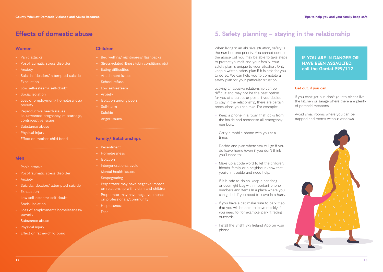### **Women**

- Panic attacks
- Post-traumatic stress disorder
- 
- Suicidal ideation/ attempted suicide
- Exhaustion
- Low self-esteem/ self-doubt
- Social isolation
- Loss of employment/ homelessness/ poverty
- Reproductive health issues i.e. unwanted pregnancy, miscarriage, contraceptive issues
- Substance abuse
- Physical injury
- Effect on mother-child bond

### **Men**

- Panic attacks
- Post-traumatic stress disorder
- Anxiety
- Suicidal ideation/ attempted suicide
- Exhaustion
- Low self-esteem/ self-doubt
- Social isolation
- Loss of employment/ homelessness/ poverty
- Substance abuse
- Physical injury
- Effect on father-child bond

# **Children**

- Bed wetting/ nightmares/ flashbacks
- Stress-related illness (skin conditions etc)
- Eating difficulties
- Attachment issues
- School refusal
- Low self-esteem
- Anxiety
- Isolation among peers
- Self-harm
- Suicide
- Anger issues

### **Family/ Relationships**

- 
- Homelessness
- Isolation
- Intergenerational cycle
- Mental health issues
- Scapegoating
- Perpetrator may have negative impact on relationship with victim and children
- Prepetrator may have negative impact on professionals/community
- Helplessness
- Fear

# **Effects of domestic abuse 5. Safety planning – staying in the relationship**

When living in an abusive situation, safety is the number one priority. You cannot control the abuse but you may be able to take steps to protect yourself and your family. Your safety plan is unique to your situation. Only keep a written safety plan if it is safe for you to do so. We can help you to complete a safety plan for your particular situation.

Leaving an abusive relationship can be difficult and may not be the best option for you at a particular point. If you decide to stay in the relationship, there are certain precautions you can take. For example:

- Keep a phone in a room that locks from the inside and memorise all emergency numbers.
- Carry a mobile phone with you at all times.
- Decide and plan where you will go if you do leave home (even if you don't think you'll need to).
- Make up a code word to let the children, friends, family or a neighbour know that you're in trouble and need help.
- If it is safe to do so, keep a handbag or overnight bag with important phone numbers and items in a place where you can grab it if you need to leave in a hurry.
- If you have a car, make sure to park it so that you will be able to leave quickly if you need to (for example, park it facing outwards).
- Install the Bright Sky Ireland App on your phone.

 **IF YOU ARE IN DANGER OR HAVE BEEN ASSAULTED, call the Gardaí 999/112.** 

### **Get out, if you can.**

If you can't get out, don't go into places like the kitchen or garage where there are plenty of potential weapons.

Avoid small rooms where you can be trapped and rooms without windows.

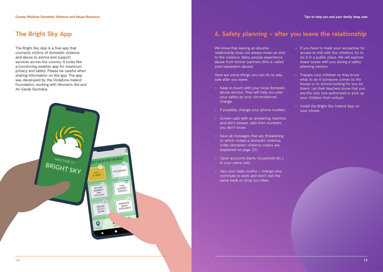The Bright Sky App is a free app that connects victims of domestic violence and abuse to advice and support services across the country. It looks like a functioning weather app for maximum privacy and safety. Please be careful when sharing information on the app. The app was developed by the Vodafone Ireland Foundation, working with Women's Aid and An Garda Síochána.



# **The Bright Sky App 6. Safety planning – after you leave the relationship**

We know that leaving an abusive relationship does not always mean an end to the violence. Many people experience abuse from former partners (this is called post separation abuse).

Here are some things you can do to stay safe after you leave.

- Keep in touch with your local domestic abuse service. They will help you plan your safety as your circumstances change.
- If possible, change your phone number.
- Screen calls with an answering machine and don't answer calls from numbers you don't know.
- Save all messages that are threatening or which violate a domestic violence order (domestic violence orders are explained on page 22).
- Open accounts (bank, household etc..) in your name only.
- Vary your daily routine change your commute to work and don't visit the same bank or shop too often.
- If you have to meet your ex-partner for access (a visit with the children), try to do it in a public place. We will explore these issues with you during a safety planning session.
- Prepare your children so they know what to do if someone comes to the house or to school looking for you (or them). Let their teachers know that you are the only one authorised to pick up your children from school.
- Install the Bright Sky Ireland App on your phone.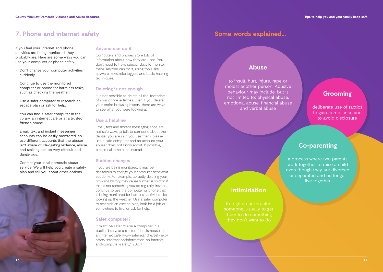# **7. Phone and internet safety Some words explained... Some words explained...**

If you feel your internet and phone activities are being monitored, they probably are. Here are some ways you can use your computer or phone safely.

- Don't change your computer activities suddenly.
- Continue to use the monitored computer or phone for harmless tasks, such as checking the weather.
- Use a safer computer to research an escape plan or ask for help.
- You can find a safer computer in the library, an internet café or at a trusted friend's house.
- Email, text and instant messenger accounts can be easily monitored, so use different accounts that the abuser isn't aware of. Navigating violence, abuse, and stalking can be very difficult and dangerous.
- Contact your local domestic abuse service. We will help you create a safety plan and tell you about other options.



### **Anyone can do it**

Computers and phones store lots of information about how they are used. You don't need to have special skills to monitor them. Anyone can do it, using tools like spyware, keystroke loggers and basic hacking techniques.

# **Deleting is not enough**

It is not possible to delete all the 'footprints' of your online activities. Even if you delete your entire browsing history, there are ways to see what you were looking at.

### **Use a helpline**

Email, text and instant messaging apps are not safe ways to talk to someone about the danger you are in. If you use them, please use a safe computer and an account your abuser does not know about. If possible, please call a helpline instead.

### **Sudden changes**

If you are being monitored, it may be dangerous to change your computer behaviour suddenly. For example, abruptly deleting your browsing history may cause further suspicion if that is not something you do regularly. Instead, continue to use the computer or phone that is being monitored for harmless activities, like looking up the weather. Use a safer computer to research an escape plan, look for a job or somewhere to live, or ask for help.

# **Safer computer?**

It might be safer to use a computer in a public library, at a trusted friend's house, or an internet café. (www.safeireland.ie/get-help/ safety-information/information-on-internetand-computer-safety/, 2021)

# **Abuse**

to insult, hurt, injure, rape or molest another person. Abusive behaviour may include, but is not limited to: physical abuse, emotional abuse, financial abuse and verbal abuse

# **Grooming**

deliberate use of tactics to gain compliance and to avoid disclosure

# **Co-parenting**

a process where two parents work together to raise a child even though they are divorced or separated and no longer live together

# **Intimidation**

to frighten or threaten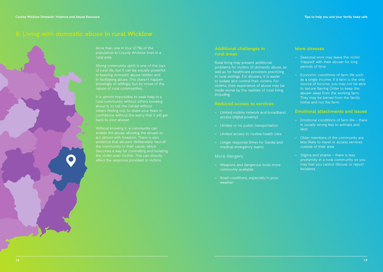# **8. Living with domestic abuse in rural Wicklow**

More than one in four (27%) of the population in County Wicklow lives in a rural area.

Strong community spirit is one of the joys of rural life, but it can be equally powerful in keeping domestic abuse hidden and in facilitating abuse. This doesn't happen knowingly or willingly, but by virtue of the nature of rural communities.

It is almost impossible to seek help in a rural community without others knowing about it, to call the Gardaí without others finding out, to share your fears in confidence without the worry that it will get back to your abuser.

Without knowing it, a community can enable the abuse, allowing the abuser to act almost with freedom. There is also evidence that abusers deliberately 'recruit' the community to their cause, which becomes a way for controlling and isolating the victim even further. This can directly affect the response provided to victims.

### **Additional challenges in rural areas**

Rural living may present additional problems for victims of domestic abuse, as well as for healthcare providers practicing in rural settings. For abusers, it is easier to isolate and control their victims. For victims, their experience of abuse may be made worse by the realities of rural living, including:

### **Reduced access to services**

- Limited mobile network and broadband access (digital poverty)
- Limited or no public transportation
- Limited access to routine health care
- Longer response times for Gardaí and medical emergency teams

### **More dangers**

- Weapons and dangerous tools more commonly available
- Road conditions, especially in poor weather

### **More stresses**

- Seasonal work may leave the victim 'trapped' with their abuser for long periods of time
- Economic conditions of farm life such as a single income. If a farm is the only source of income, you may not be able to secure Barring Order to keep the abuser away from the working farm. They may be barred from the family home and not the farm.

### **Emotional attachments and issues**

- Emotional conditions of farm life there is usually strong ties to animals and land
- Older members of the community are less likely to travel or access services outside of their area
- Stigma and shame there is less anonymity in a rural community so you may feel you cannot discuss or report incidents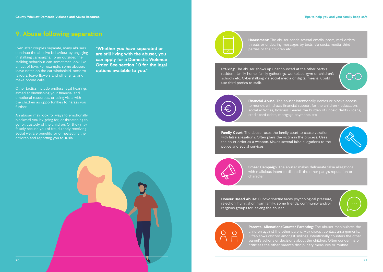# **9. Abuse following separation**

Even after couples separate, many abusers continue the abusive behaviour by engaging in stalking campaigns. To an outsider, the stalking behaviour can sometimes look like an act of love. For example, some abusers leave notes on the car windshield, perform favours, leave flowers and other gifts, and make phone calls.

Other tactics include endless legal hearings aimed at diminishing your financial and emotional resources, or using visits with the children as opportunities to harass you further.

An abuser may look for ways to emotionally blackmail you by going for, or threatening to go for, custody of the children. Or they may falsely accuse you of fraudulently receiving social welfare benefits, or of neglecting the children and reporting you to Tusla.

**"Whether you have separated or are still living with the abuser, you can apply for a Domestic Violence Order. See section 10 for the legal options available to you."**



threats or endearing messages by texts, via social media, third parties or the children etc.

**Stalking:** The abuser shows up unannounced at the other party's resident, family home, family gatherings, workplace, gym or children's schools etc. Cyberstalking via social media or digital means. Could use third parties to stalk.

**Financial Abuse:** The abuser intentionally denies or blocks access social activities, holidays. Leaves the burden of unpaid debts - loans, credit card debts, mortgage payments etc.

**Family Court:** The abuser uses the family court to cause vexation with false allegations. Often plays the victim in the process. Uses the court order as a weapon. Makes several false allegations to the police and social services.



**Smear Campaign:** The abuser makes deliberate false allegations with malicious intent to discredit the other party's reputation or character.

**Honour Based Abuse:** Survivor/victim faces psychological pressure, rejection, humiliation from family, some friends, community and/or religious groups for leaving the abuser.



**Parental Alienation/Counter Parenting:** The abuser manipulates the Often sows discord amongst siblings. Intentionally counters the other criticises the other parent's disciplinary measures or routine.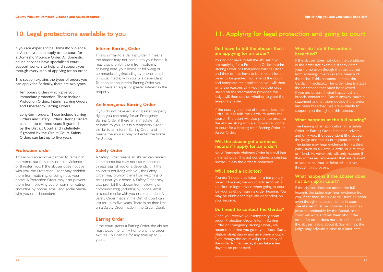If you are experiencing Domestic Violence or Abuse, you can apply to the court for a Domestic Violence Order. All domestic abuse services have specialised court support workers to help and support you through every step of applying for an order.

This section explains the types of orders you can apply for. Basically, there are two types:

- Temporary orders which give you immediate protection. These include Protection Orders, Interim Barring Orders and Emergency Barring Orders.
- Long-term orders. These include Barring Orders and Safety Orders. Barring Orders can last up to three years if granted by the District Court and indefinitely if granted by the Circuit Court. Safety Orders can last up to five years.

# **Protection order**

This allows an abusive partner to remain in the home, but they may not use violence or threaten you. If the abuser does not live with you, the Protection Order may prohibit them from watching, or being near, your home. A Protection Order may also prevent them from following you or communicating (including by phone, email and social media) with you or a dependant.

### **Interim Barring Order**

This is similar to a Barring Order. It means the abuser may not come into your home. It may also prohibit them from watching, or being near, your home or following or communicating (including by phone, email or social media) with you or a dependant. To apply for an Interim Barring Order you must have an equal or greater interest in the property.

### **An Emergency Barring Order**

If you do not have equal or greater property rights, you can apply for an Emergency Barring Order if there an immediate risk or harm to you. This is a temporary Order similar to an Interim Barring Order and means the abuser may not enter the home for 8 days.

### **Safety Order**

A Safety Order means an abuser can remain in the home but may not use violence or threats against you or a dependant. If the abuser is not living with you, the Safety Order may prohibit them from watching, or being near, your home. A Safety Order may also prohibit the abuser from following or communicating (including by phone, email or social media) with you or a dependant A Safety Order made in the District Court can last for up to five years. There is no time limit on a Safety Order made in the Circuit Court.

# **Barring Order**

If the court grants a Barring Order, the abuser must leave the family home until the order expires. This can be for any time up to 3 years.

# **10. Legal protections available to you 11. Applying for legal protection and going to court**

### **Do I have to tell the abuser that I am applying for an order?**

You do not have to tell the abuser if you are applying for a Protection Order, Interim Barring Order or Emergency Barring Order and they do not have to be in court for an order to be granted. You attend the court and complete the application, you will then write the reasons why you need the order. Based on the information provided the judge will then decide whether to grant the temporary order.

If the court grants one of these orders, the judge usually tells the Gardaí to notify the abuser. The court will also post the order to the abuser along with a summons to come to court for a hearing for a Barring Order or Safety Order.

### **Will the abuser get a criminal record if I apply for an order?**

No. A Domestic Violence Order is a civil (not criminal) order. It is not considered a criminal record unless the order is breached.

### **Will I need a solicitor?**

You don't need a solicitor for a temporary order. However, we would advise to get a solicitor or legal advice when going to court for your safety or barring order hearing. You may be eligible for legal aid depending on your income.

### **Do I need to contact the Gardaí?**

Once you receive your temporary court order (Protection Order, Interim Barring Order or Emergency Barring Order), we recommend that you go to your local Garda Station straightaway and give them a copy. Even though the court will post a copy of the order to the Gardaí, it can take a few days to be processed.

### **What do I do if the order is breached?**

If the abuser does not obey the conditions in the order (for example, if they enter your home even though they are barred from entering), this is called a breach of the order. If this happens, contact the Gardaí immediately. The order clearly states the conditions that must be followed. If you are unsure if what happened is a breach, contact the Gardaí anyway, make a statement and let them decide if the order has been breached. We are available to support you throughout this process.

### **What happens at the full hearing?**

The hearing of an application for a Safety Order or Barring Order is held in private and only you, the respondent (the abuser), the judge and the court registrar attend. The judge may hear evidence from a third party such as a Garda, a child, or a relative or friend. However, this will only happen if they witnessed any events that are relevant to your case. Your solicitor will talk you through this process.

### **What happens if the abuser does not turn up in court?**

If the abuser does not attend the full hearing, the judge may hear evidence from you. If satisfied, the judge will grant an order even though the abuser is not in court. The abuser must be informed as soon as possible preferably by the Gardaí, or the court will write and tell them about the order. An order does not take effect until the abuser is told about it. Sometimes, the judge may adjourn a case to a later date.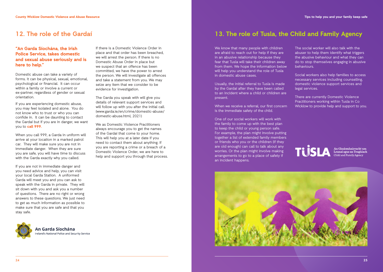# **12. The role of the Gardaí**

# **"An Garda Síochána, the Irish Police Service, takes domestic and sexual abuse seriously and is here to help."**

Domestic abuse can take a variety of forms. It can be physical, sexual, emotional, psychological or financial. It can occur within a family or involve a current or ex-partner, regardless of gender or sexual orientation.

If you are experiencing domestic abuse, you may feel isolated and alone. You do not know who to trust or who you can confide in. It can be daunting to contact the Gardaí but if you are in danger, we want you to **call 999.** 

When you call 999, a Garda in uniform will arrive at your location in a marked patrol car. They will make sure you are not in immediate danger. When they are sure you are safe, you will have time to discuss with the Garda exactly why you called.

If you are not in immediate danger and you need advice and help, you can visit your local Garda Station. A uniformed Garda will meet you and you can ask to speak with the Garda in private. They will sit down with you and ask you a number of questions. There are no right or wrong answers to these questions. We just need to get as much information as possible to make sure that you are safe and that you stay safe.



An Garda Síochána reland's National Police and Security Service If there is a Domestic Violence Order in place and that order has been breached, we will arrest the person. If there is no Domestic Abuse Order in place but we suspect that an offence has been committed, we have the power to arrest the person. We will investigate all offences and take a statement from you. We may seize any item that we consider to be evidence for investigation.

The Garda you speak with will give you details of relevant support services and will follow up with you after the initial call. (www.garda.ie/en/crime/domestic-abuse/ domestic-abuse.html, 2021)

We as Domestic Violence Practitioners always encourage you to get the names of the Gardaí that come to your home. This will help you at a later date if you need to contact them about anything. If you are reporting a crime or a breach of a Domestic Violence Order, we are here to help and support you through that process.

# **13. The role of Tusla, the Child and Family Agency**

We know that many people with children are afraid to reach out for help if they are in an abusive relationship because they fear that Tusla will take their children away from them. We hope the information below will help you understand the role of Tusla in domestic abuse cases.

Usually, the initial referral to Tusla is made by the Gardaí after they have been called to an incident where a child or children are present.

When we receive a referral, our first concern is the immediate safety of the child.

One of our social workers will work with the family to come up with the best plan to keep the child or young person safe. For example, the plan might involve putting together a list of extended family members or friends who you or the children (if they are old enough) can call to talk about any worries. Or the plan might involve making arrangements to go to a place of safety if an incident happens.

The social worker will also talk with the abuser to help them identify what triggers the abusive behaviour and what they can do to stop themselves engaging in abusive behaviours.

Social workers also help families to access necessary services including counselling, domestic violence support services and legal services.

There are currently Domestic Violence Practitioners working within Tusla in Co Wicklow to provide help and support to you.

# An Ghníomhaireacht um<br>Leanaí agus an Teaghlach<br>Child and Family Agency

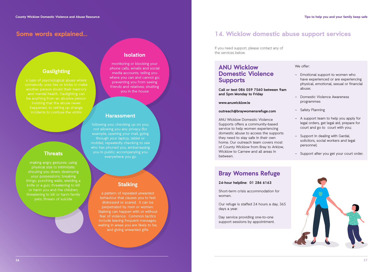# **Some words explained...**

# **Gaslighting**

# **Threats**

making angry gestures; using physical size to intimidate; shouting you down; destroying your possessions; breaking things; punching walls; wielding a knife or a gun; threatening to kill or harm you and the children; threatening to kill or harm family pets; threats of suicide

# **Isolation**

monitoring or blocking your phone calls, emails and social media accounts; telling you where you can and cannot go; preventing you from seeing friends and relatives; shutting you in the house

# **Harassment**

following you; checking up on you; not allowing you any privacy (for example, opening your mail, going through your laptop, tablet or mobile), repeatedly checking to see who has phoned you; embarrassing you in public; accompanying you everywhere you go

# **Stalking**

a pattern of repeated unwanted behaviour that causes you to feel distressed or scared. It can be perpetrated by men or women. Stalking can happen with or without fear of violence. Common tactics include leaving frequent messages, waiting in areas you are likely to be, and giving unwanted gifts

# **14. Wicklow domestic abuse support services**

If you need support, please contact any of the services below.

# **ANU Wicklow Domestic Violence Supports**

**Call or text 086 059 7560 between 9am and 5pm Monday to Friday**

**www.anuwicklow.ie**

### **outreach@braywomensrefuge.com**

ANU Wicklow Domestic Violence Supports offers a community-based service to help women experiencing domestic abuse to access the supports they need to stay safe in their own home. Our outreach team covers most of County Wicklow from Bray to Arklow, Wicklow to Carnew and all areas in between.

We offer:

- Emotional support to women who have experienced or are experiencing physical, emotional, sexual or financial abuse;
- Domestic Violence Awareness programmes
- Safety Planning
- A support team to help you apply for legal orders, get legal aid, prepare for court and go to court with you;
- Support in dealing with Gardaí, solicitors, social workers and legal personnel;
- Support after you get your court order.

# **Bray Womens Refuge**

### **24-hour helpline: 01 286 6163**

Short-term crisis accommodation for women.

Our refuge is staffed 24 hours a day, 365 days a year.

Day service providing one-to-one support sessions by appointment.

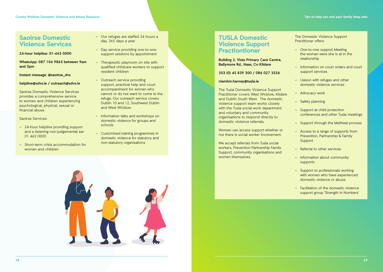# **Saoirse Domestic Violence Services**

**24-hour helpline: 01-463 0000** 

**WhatsApp: 087 104 9863 between 9am and 5pm** 

**Instant message: @saoirse\_dvs**

### **helpline@sdvs.ie / outreach@sdvs.ie**

Saoirse Domestic Violence Services provides a comprehensive service to women and children experiencing psychological, physical, sexual or financial abuse.

Saoirse Services:

- 24-hour helpline providing support and a listening non-judgemental ear 01 463 0000
- Short-term crisis accommodation for women and children
- Our refuges are staffed 24 hours a day, 365 days a year
- Day service providing one-to-one support sessions by appointment
- Therapeutic playroom on site with qualified childcare workers to support resident children
- Outreach service providing support, practical help and court accompaniment for women who cannot or do not want to come to the refuge. Our outreach service covers Dublin 10 and 12, Southwest Dublin and West Wicklow.
- Information talks and workshops on domestic violence for groups and schools
- Customised training programmes in domestic violence for statutory and non-statutory organisations



# **TUSLA Domestic Violence Support Practiontioner**

### **Building 2, Vista Primary Care Centre, Ballymore Rd., Naas, Co Kildare**

### **353 (0) 45 839 300 / 086 027 3556**

### **niamhm.harney@tusla.ie**

The Tusla Domestic Violence Support Practitioner covers West Wicklow, Kildare and Dublin South West. The domestic violence support team works closely with the Tusla social work department and voluntary and community organisations to respond directly to domestic violence referrals.

**29** Women can access support whether or not there is social worker involvement.

We accept referrals from Tusla social workers, Prevention Partnership Family Support, community organisations and women themselves.

The Domestic Violence Support Practitioner offers:

- One-to-one support Meeting the woman were she is at in the relationship
- Information on court orders and court support services
- Liaison with refuges and other domestic violence services
- Advocacy work
- Safety planning
- Support at child protection conferences and other Tusla meetings
- Support through the Meitheal process
- Access to a range of supports from Prevention, Partnership & Family Support
- Referral to other services
- Information about community supports
- Support to professionals working with women who have experienced domestic violence or abuse
- Facilitation of the domestic violence support group 'Strength in Numbers'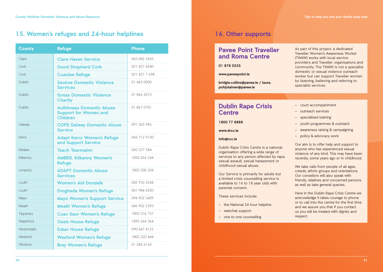# **15. Women's refuges and 24-hour helplines 16. Other supports**

| <b>County</b> | <b>Refuge</b>                                                                      | Phone         |
|---------------|------------------------------------------------------------------------------------|---------------|
| Clare         | <b>Clare Haven Service</b>                                                         | 065 682 2435  |
| Cork          | <b>Good Shepherd Cork</b>                                                          | 021 427 4240  |
| Cork          | <b>Cuanlee Refuge</b>                                                              | 021 427 7 698 |
| Dublin        | <b>Saoirse Domestic Violence</b><br><b>Services</b>                                | 01 463 0000   |
| Dublin        | <b>Sonas Domestic Violence</b><br><b>Charity</b>                                   | 01 866 2015   |
| <b>Dublin</b> | <b>Aoibhneas Domestic Abuse</b><br><b>Support for Women and</b><br><b>Children</b> | 01 867 0701   |
| Galway        | <b>COPE Galway Domestic Abuse</b><br><b>Service</b>                                | 091 565 985   |
| Kerry         | <b>Adapt Kerry Women's Refuge</b><br>and Support Service                           | 066 712 9100  |
| Kildare       | <b>Teach Tearmainn</b>                                                             | 045 527 584   |
| Kilkenny      | <b>AMBER, Kilkenny Women's</b><br><b>Refuge</b>                                    | 1850 424 244  |
| Limerick      | <b>ADAPT Domestic Abuse</b><br><b>Services</b>                                     | 1800 200 504  |
| <b>Louth</b>  | <b>Women's Aid Dundalk</b>                                                         | 042 933 3244  |
| <b>Louth</b>  | <b>Drogheda Women's Refuge</b>                                                     | 041 984 4550  |
| Mayo          | <b>Mayo Women's Support Service</b>                                                | 094 902 5409  |
| Meath         | <b>Meath Women's Refuge</b>                                                        | 046 902 2393  |
| Tipperary     | <b>Cuan Saor Women's Refuge</b>                                                    | 1800 576 757  |
| Waterford     | <b>Oasis House Refuge</b>                                                          | 1890 264 364  |
| Westmeath     | <b>Esker House Refuge</b>                                                          | 090 647 4122  |
| Wexford       | <b>Wexford Women's Refuge</b>                                                      | 1800 220 444  |
| Wicklow       | <b>Bray Women's Refuge</b>                                                         | 01 286 6163   |

# **Pavee Point Traveller and Roma Centre**

**01 878 0255**

### **www.paveepoint.ie**

**bridgie.collins@pavee.ie / laura. pohjolainen@pavee.ie** 

# **Dublin Rape Crisis Centre**

**1800 77 8888**

**www.drcc.ie**

### **info@rcc.ie**

Dublin Rape Crisis Centre is a national organisation offering a wide range of services to any person affected by rape. sexual assault, sexual harassment or childhood sexual abuse.

Our Service is primarily for adults but a limited crisis counselling service is available to 16 to 18 year olds with parental consent.

These services include:

- the National 24 hour helpline
- webchat support
- one to one counselling

### As part of this project, a dedicated Traveller Women's Awareness Worker (TWAW) works with local service providers and Traveller organisations and community. The TWAW is not a specailist domestic or sexual violence outreach worker but can support Traveller women by listening, believing and referring to specialist services.

- court accompaniment
- outreach services
- specialised training
- youth programmes & outreach
- awareness raising & campaigning
- policy & advocacy work

Our aim is to offer help and support to anyone who has experienced sexual violence of any kind. This may have been recently, some years ago or in childhood.

We take calls from people of all ages. creeds, ethnic groups and orientations. Our consellors will also speak with friends, relatives and concerned persons as well as take general queries.

Here in the Dublin Rape Crisis Centre we acknowledge it takes courage to phone or to call into the centre for the first time and we assure you that if you contact us you will be treated with dignity and respect.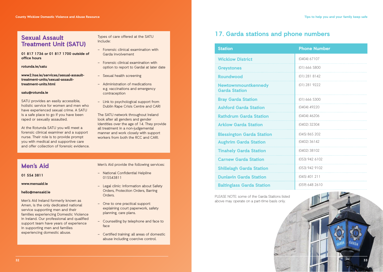# **Sexual Assault Treatment Unit (SATU)**

**01 817 1736 or 01 817 1700 outside of office hours**

**rotunda.ie/satu**

**www2.hse.ie/services/sexual-assaulttreatment-units/sexual-assaulttreatment-units.html**

### **satu@rotunda.ie**

SATU provides an easily accessible, holistic service for women and men who have experienced sexual crime. A SATU is a safe place to go if you have been raped or sexually assaulted.

At the Rotunda SATU you will meet a forensic clinical examiner and a support nurse. Their role is to provide prompt you with medical and supportive care and offer collection of forensic evidence.

### Types of care offered at the SATU include:

- Forensic clinical examination with Garda involvement
- Forensic clinical examination with option to report to Gardai at later date
- Sexual health screening
- Administration of medications e.g. vaccinations and emergency contraception
- Link to psychological support from Dublin Rape Crisis Centre and CARI

The SATU network throughout Ireland look after all genders and gender identities over the age of 14. They provide all treatment in a non-judgemental manner and work closely with support workers from both the RCC and CARI.

# **Men's Aid**

**01 554 3811**

**www.mensaid.ie**

### **hello@mensaid.ie**

Men's Aid Ireland formerly known as Amen, is the only dedicated national service supporting men and their families experiencing Domestic Violence in Ireland. Our professional and qualified support team have years of experience in supporting men and families experiencing domestic abuse.

Men's Aid provide the following services:

- National Confidential Helpline 015543811
- Legal clinic: information about Safety Orders, Protection Orders, Barring Orders.
- One to one practical support: explaining court paperwork, safety planning, care plans.
- Counselling by telephone and face to face
- Certified training: all areas of domestic abuse including coercive control.

# **17. Garda stations and phone numbers**

| <b>Station</b>                              | <b>Phone Number</b> |
|---------------------------------------------|---------------------|
| <b>Wicklow District</b>                     | (0404) 67107        |
| <b>Greystones</b>                           | (01) 666 5800       |
| <b>Roundwood</b>                            | $(01)$ 281 8142     |
| Newtownmountkennedy<br><b>Garda Station</b> | (01) 281 9222       |
| <b>Bray Garda Station</b>                   | (01) 666 5300       |
| <b>Ashford Garda Station</b>                | (0404) 49220        |
| <b>Rathdrum Garda Station</b>               | (0404) 46206        |
| <b>Arklow Garda Station</b>                 | (0402) 32304        |
| <b>Blessington Garda Station</b>            | (045) 865 202       |
| <b>Aughrim Garda Station</b>                | $(0402)$ 36142      |
| <b>Tinahely Garda Station</b>               | (0402) 38102        |
| <b>Carnew Garda Station</b>                 | (053) 942 6102      |
| <b>Shillelagh Garda Station</b>             | (053) 942 9102      |
| <b>Dunlavin Garda Station</b>               | $(045)$ 401 211     |
| <b>Baltinglass Garda Station</b>            | (059) 648 2610      |

PLEASE NOTE: some of the Garda Stations listed above may operate on a part-time basis only.